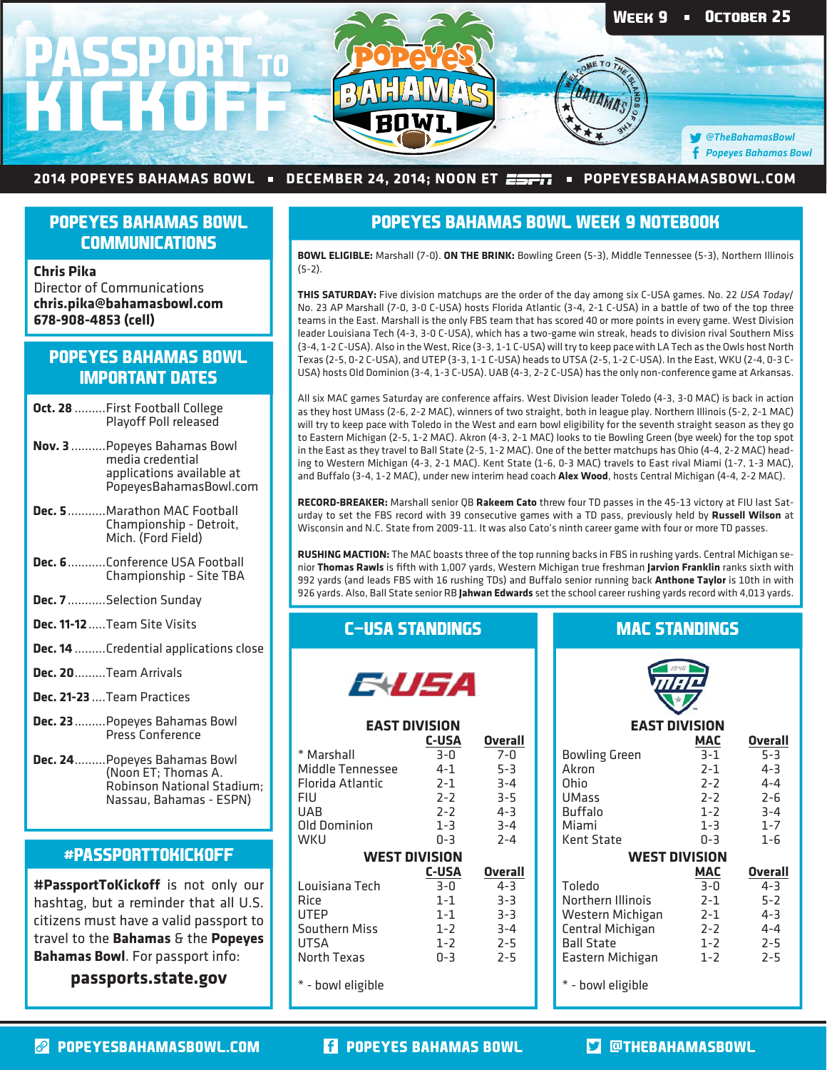

#### 2014 POPEYES BAHAMAS BOWL • DECEMBER 24, 2014; NOON ET  $\overline{\text{exp}}$  • POPEYESBAHAMASBOWL.COM

# **POPEYES BAHAMAS BOWL COMMUNICATIONS**

**Chris Pika** Director of Communications **chris.pika@bahamasbowl.com 678-908-4853 (cell)**

# **POPEYES BAHAMAS BOWL IMPORTANT DATES**

- **Oct. 28** .........First Football College Playoff Poll released
- **Nov. 3** ..........Popeyes Bahamas Bowl media credential applications available at PopeyesBahamasBowl.com
- **Dec. 5** ...........Marathon MAC Football Championship - Detroit, Mich. (Ford Field)
- **Dec. 6** ...........Conference USA Football Championship - Site TBA
- **Dec. 7** ...........Selection Sunday
- **Dec. 11-12** .....Team Site Visits
- **Dec. 14** .........Credential applications close
- **Dec. 20** .........Team Arrivals
- **Dec. 21-23** ....Team Practices
- **Dec. 23** .........Popeyes Bahamas Bowl Press Conference
- **Dec. 24** .........Popeyes Bahamas Bowl (Noon ET; Thomas A. Robinson National Stadium; Nassau, Bahamas - ESPN)

#### **#PASSPORTTOKICKOFF**

**#PassportToKickoff** is not only our hashtag, but a reminder that all U.S. citizens must have a valid passport to travel to the **Bahamas** & the **Popeyes Bahamas Bowl**. For passport info:

**passports.state.gov**

## **POPEYES BAHAMAS BOWL WEEK 9 NOTEBOOK**

**BOWL ELIGIBLE:** Marshall (7-0). **ON THE BRINK:** Bowling Green (5-3), Middle Tennessee (5-3), Northern Illinois (5-2).

**THIS SATURDAY:** Five division matchups are the order of the day among six C-USA games. No. 22 USA Today/ No. 23 AP Marshall (7-0, 3-0 C-USA) hosts Florida Atlantic (3-4, 2-1 C-USA) in a battle of two of the top three teams in the East. Marshall is the only FBS team that has scored 40 or more points in every game. West Division leader Louisiana Tech (4-3, 3-0 C-USA), which has a two-game win streak, heads to division rival Southern Miss (3-4, 1-2 C-USA). Also in the West, Rice (3-3, 1-1 C-USA) will try to keep pace with LA Tech as the Owls host North Texas (2-5, 0-2 C-USA), and UTEP (3-3, 1-1 C-USA) heads to UTSA (2-5, 1-2 C-USA). In the East, WKU (2-4, 0-3 C-USA) hosts Old Dominion (3-4, 1-3 C-USA). UAB (4-3, 2-2 C-USA) has the only non-conference game at Arkansas.

All six MAC games Saturday are conference affairs. West Division leader Toledo (4-3, 3-0 MAC) is back in action as they host UMass (2-6, 2-2 MAC), winners of two straight, both in league play. Northern Illinois (5-2, 2-1 MAC) will try to keep pace with Toledo in the West and earn bowl eligibility for the seventh straight season as they go to Eastern Michigan (2-5, 1-2 MAC). Akron (4-3, 2-1 MAC) looks to tie Bowling Green (bye week) for the top spot in the East as they travel to Ball State (2-5, 1-2 MAC). One of the better matchups has Ohio (4-4, 2-2 MAC) heading to Western Michigan (4-3, 2-1 MAC). Kent State (1-6, 0-3 MAC) travels to East rival Miami (1-7, 1-3 MAC), and Buffalo (3-4, 1-2 MAC), under new interim head coach **Alex Wood**, hosts Central Michigan (4-4, 2-2 MAC).

**RECORD-BREAKER:** Marshall senior QB **Rakeem Cato** threw four TD passes in the 45-13 victory at FIU last Saturday to set the FBS record with 39 consecutive games with a TD pass, previously held by **Russell Wilson** at Wisconsin and N.C. State from 2009-11. It was also Cato's ninth career game with four or more TD passes.

**RUSHING MACTION:** The MAC boasts three of the top running backs in FBS in rushing yards. Central Michigan senior **Thomas Rawls** is fifth with 1,007 yards, Western Michigan true freshman **Jarvion Franklin** ranks sixth with 992 yards (and leads FBS with 16 rushing TDs) and Buffalo senior running back **Anthone Taylor** is 10th in with 926 yards. Also, Ball State senior RB **Jahwan Edwards** set the school career rushing yards record with 4,013 yards.

### **C-USA STANDINGS**

**EAST DIVISION**

E USA

 **C-USA Overall**

# **MAC STANDINGS**



# **EAST DIVISION**

**Overall** 

| * Marshall           | $3 - 0$      | $7 - 0$        | <b>Bowling Green</b> | $3 - 1$    | $5 - 3$        |
|----------------------|--------------|----------------|----------------------|------------|----------------|
| Middle Tennessee     | $4 - 1$      | $5-3$          | Akron                | $2 - 1$    | $4 - 3$        |
| Florida Atlantic     | $2 - 1$      | $3 - 4$        | Ohio                 | $2 - 2$    | $4 - 4$        |
| FIU                  | $2 - 2$      | $3 - 5$        | <b>UMass</b>         | $7 - 7$    | $2 - 6$        |
| UAB                  | $2 - 2$      | $4 - 3$        | <b>Buffalo</b>       | $1 - 2$    | $3 - 4$        |
| Old Dominion         | $1 - 3$      | $3 - 4$        | Miami                | $1 - 3$    | $1 - 7$        |
| wku                  | $0 - 3$      | $2 - 4$        | Kent State           | $0 - 3$    | $1 - 6$        |
| <b>WEST DIVISION</b> |              |                | <b>WEST DIVISION</b> |            |                |
|                      | <b>C-USA</b> | <b>Overall</b> |                      | <b>MAC</b> | <b>Overall</b> |
| Louisiana Tech       | $3 - 0$      | $4 - 3$        | Toledo               | $3 - 0$    | $4 - 3$        |
| Rice                 | $1 - 1$      | $3 - 3$        | Northern Illinois    | $2 - 1$    | $5-2$          |
| UTEP                 | $1 - 1$      | $3 - 3$        | Western Michigan     | $2 - 1$    | $4 - 3$        |
| Southern Miss        | $1 - 2$      | $3 - 4$        | Central Michigan     | $2 - 2$    | $4 - 4$        |
| UTSA                 | $1 - 2$      | $2 - 5$        | <b>Ball State</b>    | $1 - 2$    | $2 - 5$        |
| North Texas          | $0 - 3$      | $2 - 5$        | Eastern Michigan     | $1 - 2$    | $2 - 5$        |
| * - bowl eligible    |              |                | * - bowl eligible    |            |                |

**POPEYESBAHAMASBOWL.COM POPEYES BAHAMAS BOWL @THEBAHAMASBOWL**